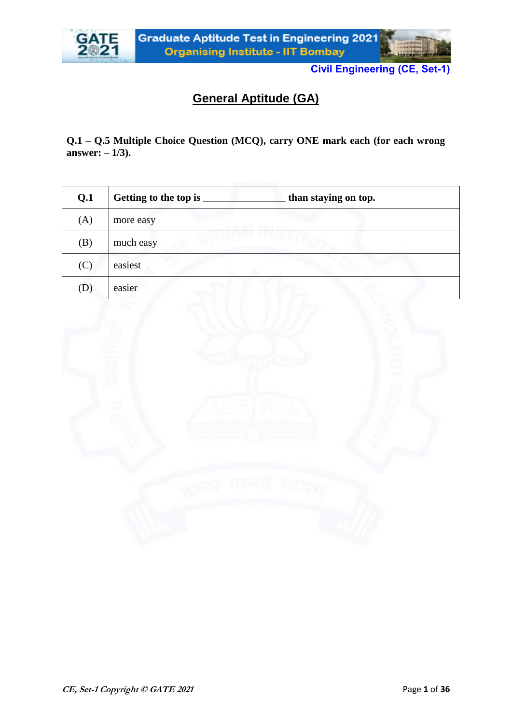



## **General Aptitude (GA)**

**Q.1 – Q.5 Multiple Choice Question (MCQ), carry ONE mark each (for each wrong answer: – 1/3).**

| Q.1 | Getting to the top is _ | than staying on top. |
|-----|-------------------------|----------------------|
| (A) | more easy               |                      |
| (B) | much easy               |                      |
| (C) | easiest                 |                      |
| (D) | easier                  |                      |

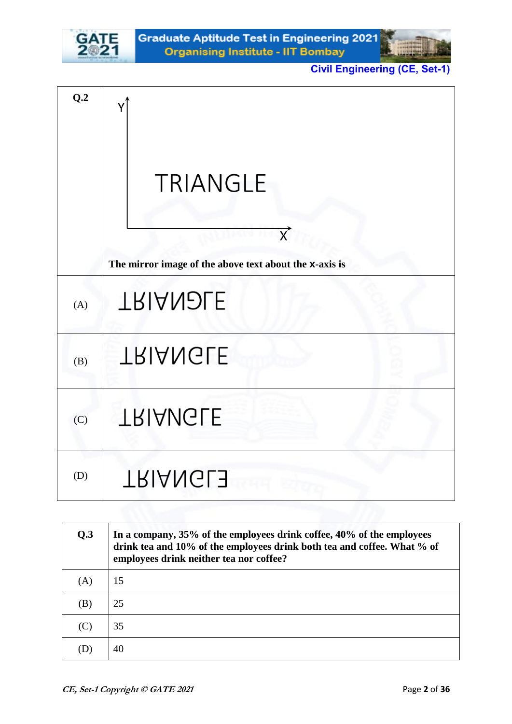

| Q.2 |                                                                                                   |
|-----|---------------------------------------------------------------------------------------------------|
|     | <b>TRIANGLE</b><br>$\overrightarrow{X}$<br>The mirror image of the above text about the x-axis is |
| (A) | <b>TRIANDLE</b>                                                                                   |
| (B) | <b>TRIANGLE</b>                                                                                   |
| (C) | <b>TRIANGLE</b>                                                                                   |
| (D) | <b>TRIANGLE</b>                                                                                   |

| Q.3 | In a company, 35% of the employees drink coffee, 40% of the employees<br>drink tea and 10% of the employees drink both tea and coffee. What % of<br>employees drink neither tea nor coffee? |
|-----|---------------------------------------------------------------------------------------------------------------------------------------------------------------------------------------------|
| (A) | 15                                                                                                                                                                                          |
| (B) | 25                                                                                                                                                                                          |
| (C) | 35                                                                                                                                                                                          |
| D   | 40                                                                                                                                                                                          |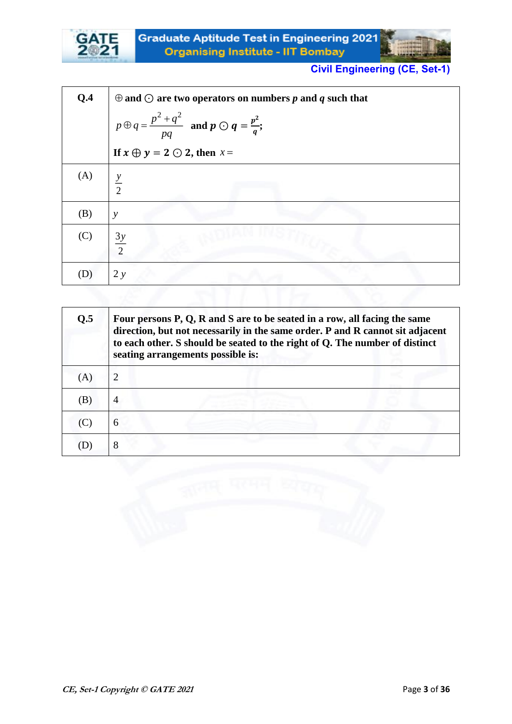

| Q.4 | $\oplus$ and $\odot$ are two operators on numbers p and q such that   |
|-----|-----------------------------------------------------------------------|
|     | $p \oplus q = \frac{p^2 + q^2}{pq}$ and $p \odot q = \frac{p^2}{q}$ ; |
|     | If $x \oplus y = 2 \odot 2$ , then $x =$                              |
| (A) | $\frac{y}{2}$                                                         |
| (B) | $\mathcal{Y}$                                                         |
| (C) | $\frac{3y}{2}$                                                        |
| (D) | 2 y                                                                   |

| Q.5 | Four persons P, Q, R and S are to be seated in a row, all facing the same<br>direction, but not necessarily in the same order. P and R cannot sit adjacent<br>to each other. S should be seated to the right of Q. The number of distinct<br>seating arrangements possible is: |
|-----|--------------------------------------------------------------------------------------------------------------------------------------------------------------------------------------------------------------------------------------------------------------------------------|
| (A) | $\overline{2}$                                                                                                                                                                                                                                                                 |
| B)  | $\overline{4}$                                                                                                                                                                                                                                                                 |
| (C) | 6                                                                                                                                                                                                                                                                              |
|     | 8                                                                                                                                                                                                                                                                              |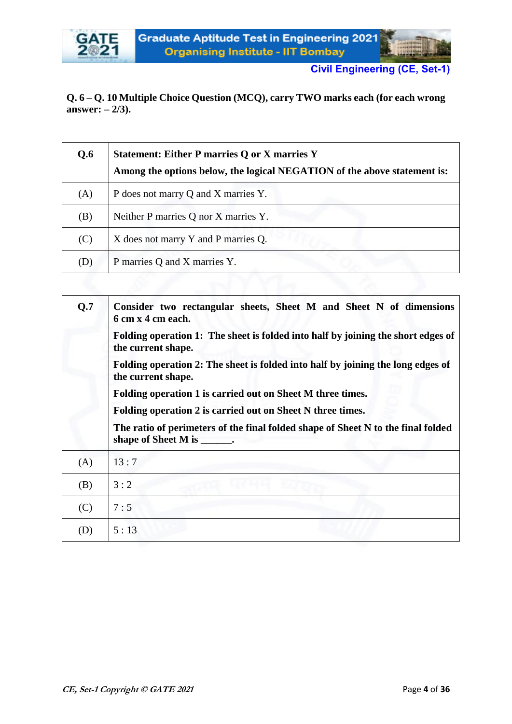

### **Q. 6 – Q. 10 Multiple Choice Question (MCQ), carry TWO marks each (for each wrong answer: – 2/3).**

| Q.6 | <b>Statement: Either P marries Q or X marries Y</b><br>Among the options below, the logical NEGATION of the above statement is: |
|-----|---------------------------------------------------------------------------------------------------------------------------------|
| (A) | P does not marry Q and X marries Y.                                                                                             |
| (B) | Neither P marries Q nor X marries Y.                                                                                            |
| (C) | X does not marry Y and P marries Q.                                                                                             |
| (D) | P marries Q and X marries Y.                                                                                                    |

| Q.7 | Consider two rectangular sheets, Sheet M and Sheet N of dimensions<br>6 cm x 4 cm each.                                  |
|-----|--------------------------------------------------------------------------------------------------------------------------|
|     | Folding operation 1: The sheet is folded into half by joining the short edges of<br>the current shape.                   |
|     | Folding operation 2: The sheet is folded into half by joining the long edges of<br>the current shape.                    |
|     | Folding operation 1 is carried out on Sheet M three times.                                                               |
|     | Folding operation 2 is carried out on Sheet N three times.                                                               |
|     | The ratio of perimeters of the final folded shape of Sheet N to the final folded<br>shape of Sheet M is<br>$\sim$ $\sim$ |
| (A) | 13:7                                                                                                                     |
| (B) | 3:2                                                                                                                      |
| (C) | 7:5                                                                                                                      |
| (D) | 5:13                                                                                                                     |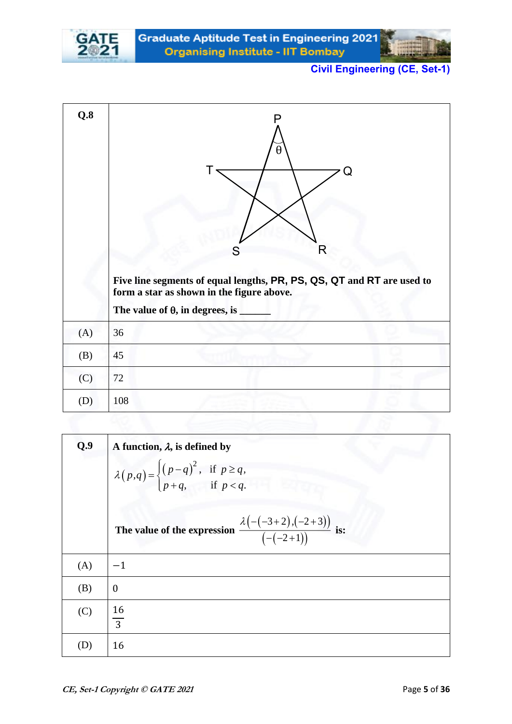

| Q.8 | P<br>θ<br>Q<br>R<br>S<br>Five line segments of equal lengths, PR, PS, QS, QT and RT are used to<br>form a star as shown in the figure above.<br>The value of $\theta$ , in degrees, is |
|-----|----------------------------------------------------------------------------------------------------------------------------------------------------------------------------------------|
| (A) | 36                                                                                                                                                                                     |
| (B) | 45                                                                                                                                                                                     |
| (C) | 72                                                                                                                                                                                     |
| (D) | 108                                                                                                                                                                                    |

| Q.9 | A function, $\lambda$ , is defined by                                                                 |
|-----|-------------------------------------------------------------------------------------------------------|
|     | $\lambda(p,q) = \begin{cases} (p-q)^2, & \text{if } p \ge q, \\ p+q, & \text{if } p < q. \end{cases}$ |
|     | The value of the expression $\frac{\lambda\big(-(-3+2),(-2+3)\big)}{\big(-(-2+1)\big)}$ is:           |
| (A) | $-1$                                                                                                  |
| (B) | $\boldsymbol{0}$                                                                                      |
| (C) | $\frac{16}{3}$                                                                                        |
| (D) | 16                                                                                                    |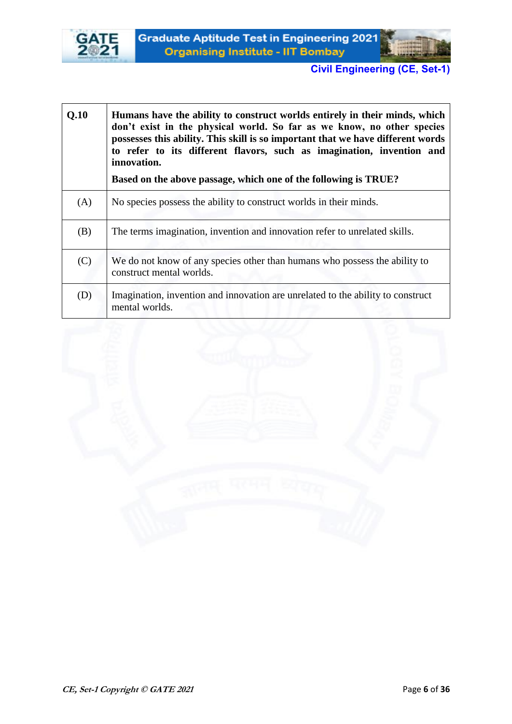



| Q.10 | Humans have the ability to construct worlds entirely in their minds, which<br>don't exist in the physical world. So far as we know, no other species<br>possesses this ability. This skill is so important that we have different words<br>to refer to its different flavors, such as imagination, invention and<br>innovation.<br>Based on the above passage, which one of the following is TRUE? |
|------|----------------------------------------------------------------------------------------------------------------------------------------------------------------------------------------------------------------------------------------------------------------------------------------------------------------------------------------------------------------------------------------------------|
| (A)  | No species possess the ability to construct worlds in their minds.                                                                                                                                                                                                                                                                                                                                 |
| (B)  | The terms imagination, invention and innovation refer to unrelated skills.                                                                                                                                                                                                                                                                                                                         |
| (C)  | We do not know of any species other than humans who possess the ability to<br>construct mental worlds.                                                                                                                                                                                                                                                                                             |
| (D)  | Imagination, invention and innovation are unrelated to the ability to construct<br>mental worlds.                                                                                                                                                                                                                                                                                                  |

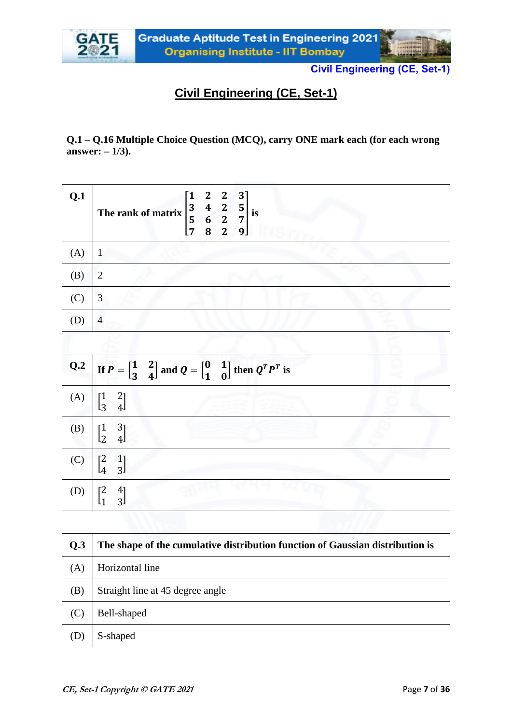



**Q.1 – Q.16 Multiple Choice Question (MCQ), carry ONE mark each (for each wrong answer: – 1/3).**

| Q.1            | $\begin{bmatrix} 1 & 2 & 2 & 3 \\ 3 & 4 & 2 & 5 \end{bmatrix}$<br>The rank of matrix $\begin{vmatrix} 3 & 4 \\ 5 & 6 \end{vmatrix}$<br><b>is</b><br>$\overline{2}$<br>7<br>$\overline{2}$<br>8<br>9 <sub>l</sub><br>7 |
|----------------|-----------------------------------------------------------------------------------------------------------------------------------------------------------------------------------------------------------------------|
| (A)            |                                                                                                                                                                                                                       |
| (B)            | 7                                                                                                                                                                                                                     |
| $(\mathbf{C})$ | 3                                                                                                                                                                                                                     |
|                | 4                                                                                                                                                                                                                     |

|     | Q.2 If $P = \begin{bmatrix} 1 & 2 \\ 3 & 4 \end{bmatrix}$ and $Q = \begin{bmatrix} 0 & 1 \\ 1 & 0 \end{bmatrix}$ then $Q^T P^T$ is |
|-----|------------------------------------------------------------------------------------------------------------------------------------|
| (A) | $\begin{bmatrix} 1 & 2 \\ 3 & 4 \end{bmatrix}$                                                                                     |
| (B) | $\begin{bmatrix} 1 & 3 \\ 2 & 4 \end{bmatrix}$                                                                                     |
| (C) | $\begin{bmatrix} 2 & 1 \\ 4 & 3 \end{bmatrix}$                                                                                     |
|     | -41<br>31                                                                                                                          |

| Q.3 | The shape of the cumulative distribution function of Gaussian distribution is |
|-----|-------------------------------------------------------------------------------|
| (A) | Horizontal line                                                               |
| (B) | Straight line at 45 degree angle                                              |
| (C) | Bell-shaped                                                                   |
| (D) | S-shaped                                                                      |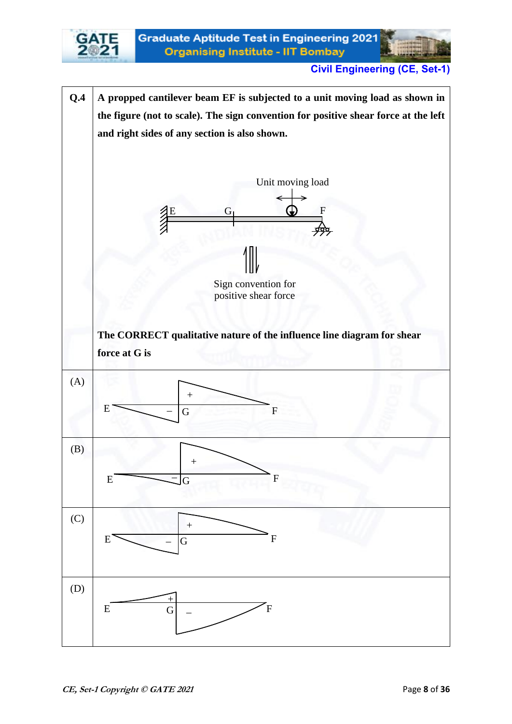

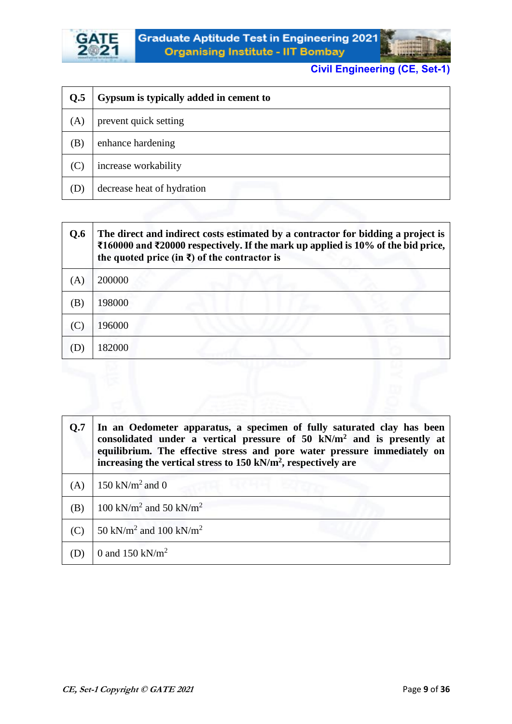



| Q.5 | Gypsum is typically added in cement to |
|-----|----------------------------------------|
| (A) | prevent quick setting                  |
| (B) | enhance hardening                      |
| (C) | increase workability                   |
| (D) | decrease heat of hydration             |

| Q.6 | The direct and indirect costs estimated by a contractor for bidding a project is<br>₹160000 and ₹20000 respectively. If the mark up applied is 10% of the bid price,<br>the quoted price (in $\bar{x}$ ) of the contractor is |
|-----|-------------------------------------------------------------------------------------------------------------------------------------------------------------------------------------------------------------------------------|
| (A) | 200000                                                                                                                                                                                                                        |
| (B) | 198000                                                                                                                                                                                                                        |
| (C) | 196000                                                                                                                                                                                                                        |
| (D) | 182000                                                                                                                                                                                                                        |
|     |                                                                                                                                                                                                                               |

| Q.7 | In an Oedometer apparatus, a specimen of fully saturated clay has been<br>consolidated under a vertical pressure of $50 \text{ kN/m}^2$ and is presently at<br>equilibrium. The effective stress and pore water pressure immediately on<br>increasing the vertical stress to $150 \text{ kN/m}^2$ , respectively are |
|-----|----------------------------------------------------------------------------------------------------------------------------------------------------------------------------------------------------------------------------------------------------------------------------------------------------------------------|
| (A) | 150 kN/m <sup>2</sup> and 0                                                                                                                                                                                                                                                                                          |
| (B) | 100 kN/m <sup>2</sup> and 50 kN/m <sup>2</sup>                                                                                                                                                                                                                                                                       |
| (C) | 50 kN/m <sup>2</sup> and 100 kN/m <sup>2</sup>                                                                                                                                                                                                                                                                       |
|     | 0 and 150 kN/ $m2$                                                                                                                                                                                                                                                                                                   |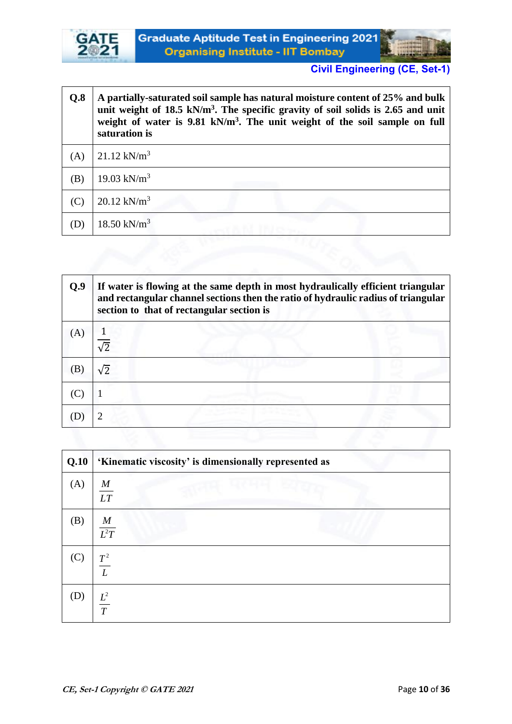

 $\mathbf{r}$ 

| Q.8 | A partially-saturated soil sample has natural moisture content of 25% and bulk<br>unit weight of 18.5 kN/m <sup>3</sup> . The specific gravity of soil solids is 2.65 and unit<br>weight of water is 9.81 kN/m <sup>3</sup> . The unit weight of the soil sample on full<br>saturation is |
|-----|-------------------------------------------------------------------------------------------------------------------------------------------------------------------------------------------------------------------------------------------------------------------------------------------|
| (A) | $21.12 \text{ kN/m}^3$                                                                                                                                                                                                                                                                    |
| (B) | 19.03 kN/ $m^3$                                                                                                                                                                                                                                                                           |
| (C) | $20.12 \text{ kN/m}^3$                                                                                                                                                                                                                                                                    |
| (D  | 18.50 kN/ $m^3$                                                                                                                                                                                                                                                                           |

| Q.9 | If water is flowing at the same depth in most hydraulically efficient triangular<br>and rectangular channel sections then the ratio of hydraulic radius of triangular<br>section to that of rectangular section is |
|-----|--------------------------------------------------------------------------------------------------------------------------------------------------------------------------------------------------------------------|
| (A) | $\sqrt{2}$                                                                                                                                                                                                         |
|     | $\sqrt{2}$                                                                                                                                                                                                         |
|     |                                                                                                                                                                                                                    |
|     |                                                                                                                                                                                                                    |

| Q.10        | 'Kinematic viscosity' is dimensionally represented as |
|-------------|-------------------------------------------------------|
| (A)         | $\frac{M}{LT}$                                        |
| (B)         | $\frac{M}{L^2T}$                                      |
| $(C)$ $T^2$ | $\overline{L}$                                        |
| (D)         | $\frac{L^2}{T}$                                       |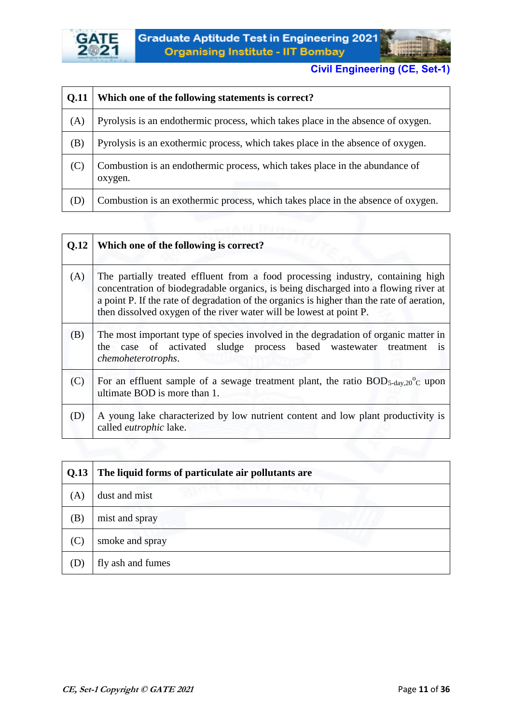



| <b>0.11</b> | Which one of the following statements is correct?                                      |
|-------------|----------------------------------------------------------------------------------------|
| (A)         | Pyrolysis is an endothermic process, which takes place in the absence of oxygen.       |
| (B)         | Pyrolysis is an exothermic process, which takes place in the absence of oxygen.        |
| (C)         | Combustion is an endothermic process, which takes place in the abundance of<br>oxygen. |
| (D)         | Combustion is an exothermic process, which takes place in the absence of oxygen.       |
|             |                                                                                        |

| Q.12 | Which one of the following is correct?                                                                                                                                                                                                                                                                                                       |
|------|----------------------------------------------------------------------------------------------------------------------------------------------------------------------------------------------------------------------------------------------------------------------------------------------------------------------------------------------|
| (A)  | The partially treated effluent from a food processing industry, containing high<br>concentration of biodegradable organics, is being discharged into a flowing river at<br>a point P. If the rate of degradation of the organics is higher than the rate of aeration,<br>then dissolved oxygen of the river water will be lowest at point P. |
| (B)  | The most important type of species involved in the degradation of organic matter in<br>the case of activated sludge process based wastewater<br>treatment<br><b>1S</b><br>chemoheterotrophs.                                                                                                                                                 |
| (C)  | For an effluent sample of a sewage treatment plant, the ratio $BOD_{5\text{-day},20}^{\circ}$ upon<br>ultimate BOD is more than 1.                                                                                                                                                                                                           |
| (D)  | A young lake characterized by low nutrient content and low plant productivity is<br>called eutrophic lake.                                                                                                                                                                                                                                   |
|      |                                                                                                                                                                                                                                                                                                                                              |

| Q.13 | The liquid forms of particulate air pollutants are |
|------|----------------------------------------------------|
| (A)  | dust and mist                                      |
| (B)  | mist and spray                                     |
| (C)  | smoke and spray                                    |
|      | fly ash and fumes                                  |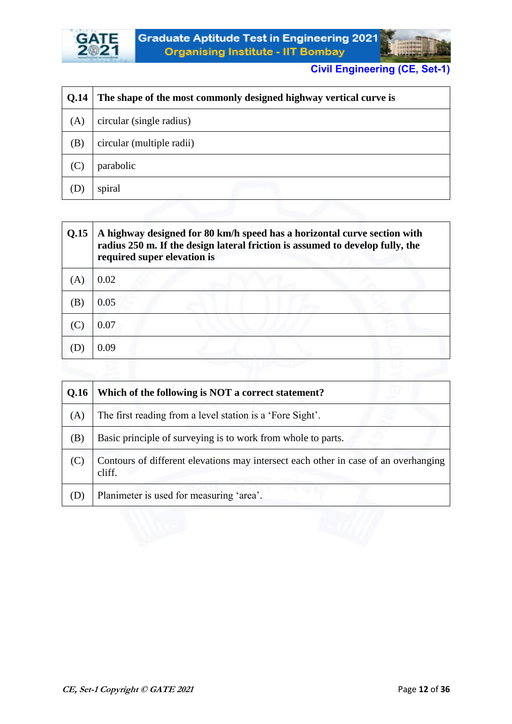



| Q.14 | The shape of the most commonly designed highway vertical curve is |
|------|-------------------------------------------------------------------|
| (A)  | circular (single radius)                                          |
| (B)  | circular (multiple radii)                                         |
| (C)  | parabolic                                                         |
| (D   | spiral                                                            |

| Q.15 | A highway designed for 80 km/h speed has a horizontal curve section with<br>radius 250 m. If the design lateral friction is assumed to develop fully, the<br>required super elevation is |
|------|------------------------------------------------------------------------------------------------------------------------------------------------------------------------------------------|
| (A)  | 0.02                                                                                                                                                                                     |
| (B)  | 0.05                                                                                                                                                                                     |
|      | 0.07                                                                                                                                                                                     |
|      | 0.09                                                                                                                                                                                     |
|      |                                                                                                                                                                                          |

| Q.16 | Which of the following is NOT a correct statement?                                            |
|------|-----------------------------------------------------------------------------------------------|
| (A)  | The first reading from a level station is a 'Fore Sight'.                                     |
| (B)  | Basic principle of surveying is to work from whole to parts.                                  |
|      | Contours of different elevations may intersect each other in case of an overhanging<br>cliff. |
| (D)  | Planimeter is used for measuring 'area'.                                                      |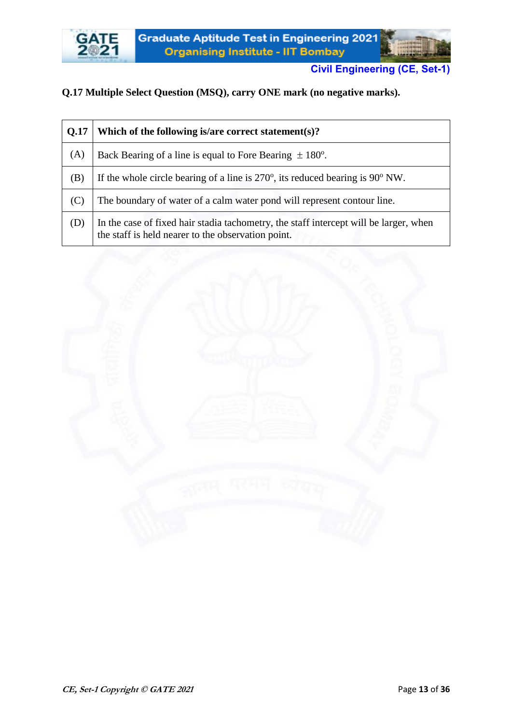

## **Q.17 Multiple Select Question (MSQ), carry ONE mark (no negative marks).**

| Q.17 | Which of the following is/are correct statement(s)?                                                                                         |
|------|---------------------------------------------------------------------------------------------------------------------------------------------|
| (A)  | Back Bearing of a line is equal to Fore Bearing $\pm 180^{\circ}$ .                                                                         |
| (B)  | If the whole circle bearing of a line is $270^{\circ}$ , its reduced bearing is $90^{\circ}$ NW.                                            |
| (C)  | The boundary of water of a calm water pond will represent contour line.                                                                     |
| (D)  | In the case of fixed hair stadia tachometry, the staff intercept will be larger, when<br>the staff is held nearer to the observation point. |

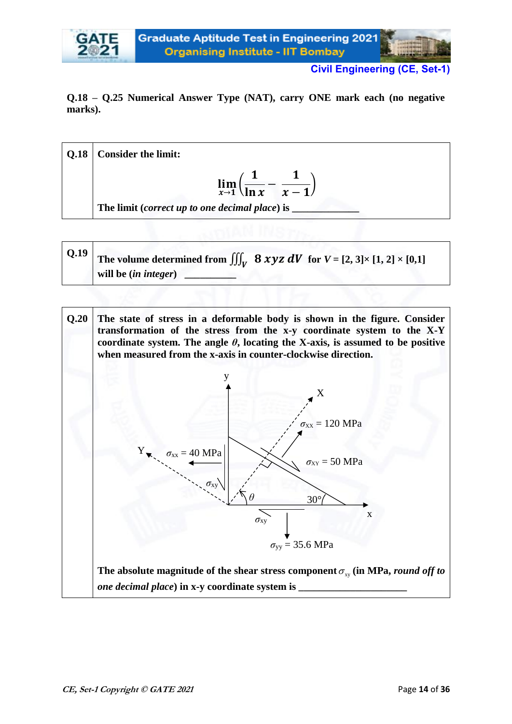

#### **Q.18 – Q.25 Numerical Answer Type (NAT), carry ONE mark each (no negative marks).**



| $\vert$ Q.19 $\vert$ | The volume determined from $\iiint_V$ 8 xyz dV for $V = [2, 3] \times [1, 2] \times [0,1]$ |  |
|----------------------|--------------------------------------------------------------------------------------------|--|
|                      | will be <i>(in integer)</i>                                                                |  |

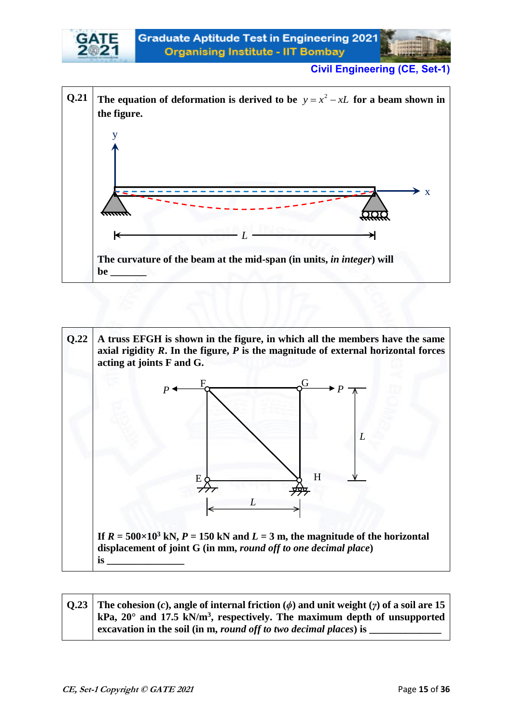



**Q.23 The cohesion (***c***), angle of internal friction (***ϕ***) and unit weight (***γ***) of a soil are 15 kPa, 20° and 17.5 kN/m<sup>3</sup> , respectively. The maximum depth of unsupported excavation in the soil (in m,** *round off to two decimal places***) is**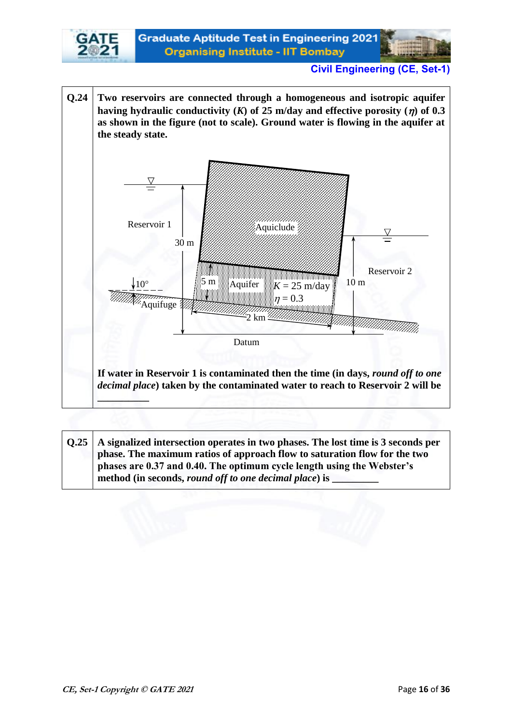



**Q.25 A signalized intersection operates in two phases. The lost time is 3 seconds per phase. The maximum ratios of approach flow to saturation flow for the two phases are 0.37 and 0.40. The optimum cycle length using the Webster's**  method (in seconds, *round off to one decimal place*) is \_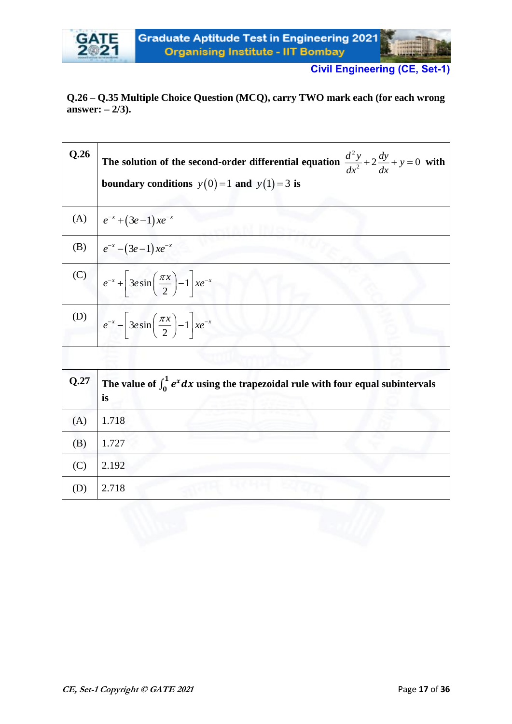

**Q.26 – Q.35 Multiple Choice Question (MCQ), carry TWO mark each (for each wrong answer: – 2/3).**

| Q.26 | The solution of the second-order differential equation $\frac{d^2y}{dx^2} + 2\frac{dy}{dx} + y = 0$ with<br>boundary conditions $y(0)=1$ and $y(1)=3$ is |
|------|----------------------------------------------------------------------------------------------------------------------------------------------------------|
|      | (A) $\int e^{-x} + (3e-1)xe^{-x}$                                                                                                                        |
|      | (B) $e^{-x} - (3e-1)xe^{-x}$                                                                                                                             |
|      | (C) $e^{-x} + 3e \sin \left(\frac{\pi x}{2}\right) - 1 \, x e^{-x}$                                                                                      |
|      | (D) $e^{-x} - 3e \sin \left(\frac{\pi x}{2}\right) - 1 \, x e^{-x}$                                                                                      |

| Q.27 | The value of $\int_0^1 e^x dx$ using the trapezoidal rule with four equal subintervals<br>is |  |  |  |
|------|----------------------------------------------------------------------------------------------|--|--|--|
| (A)  | 1.718                                                                                        |  |  |  |
| (B)  | 1.727                                                                                        |  |  |  |
|      | 2.192                                                                                        |  |  |  |
|      | 2.718                                                                                        |  |  |  |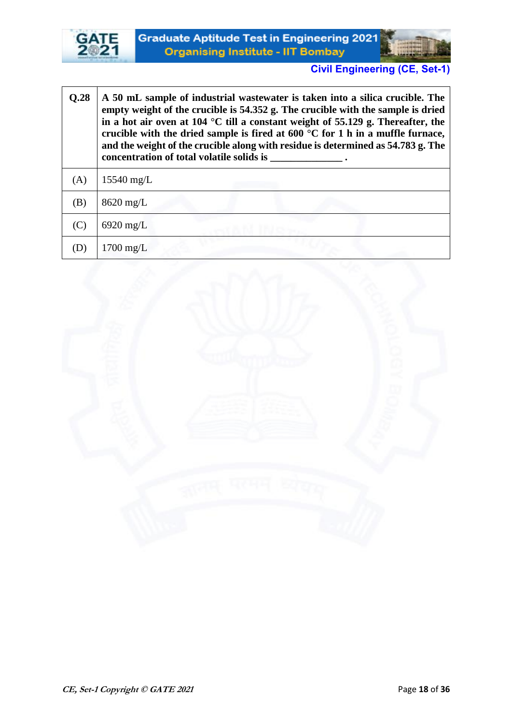

 $\overline{1}$ 



 $\overline{\phantom{a}}$ 

| Q.28 | A 50 mL sample of industrial wastewater is taken into a silica crucible. The<br>empty weight of the crucible is 54.352 g. The crucible with the sample is dried<br>in a hot air oven at 104 °C till a constant weight of 55.129 g. Thereafter, the<br>crucible with the dried sample is fired at 600 $\degree$ C for 1 h in a muffle furnace,<br>and the weight of the crucible along with residue is determined as 54.783 g. The<br>concentration of total volatile solids is |  |
|------|--------------------------------------------------------------------------------------------------------------------------------------------------------------------------------------------------------------------------------------------------------------------------------------------------------------------------------------------------------------------------------------------------------------------------------------------------------------------------------|--|
| (A)  | $15540$ mg/L                                                                                                                                                                                                                                                                                                                                                                                                                                                                   |  |
| (B)  | $8620$ mg/L                                                                                                                                                                                                                                                                                                                                                                                                                                                                    |  |
| (C)  | $6920$ mg/L                                                                                                                                                                                                                                                                                                                                                                                                                                                                    |  |
|      | $1700 \text{ mg/L}$                                                                                                                                                                                                                                                                                                                                                                                                                                                            |  |

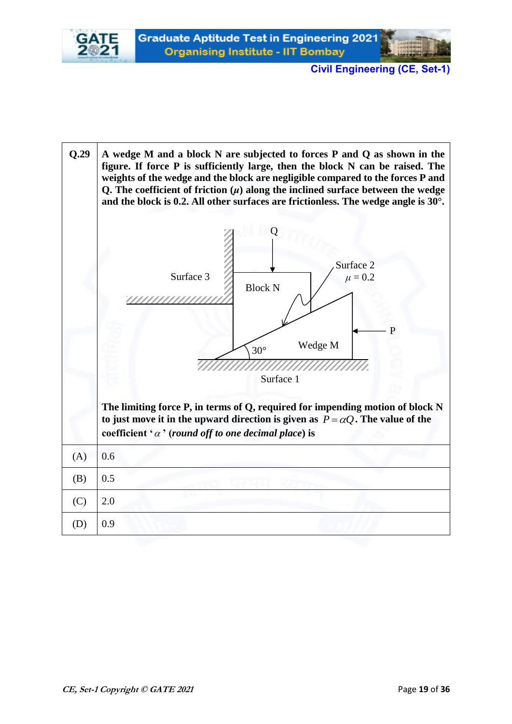

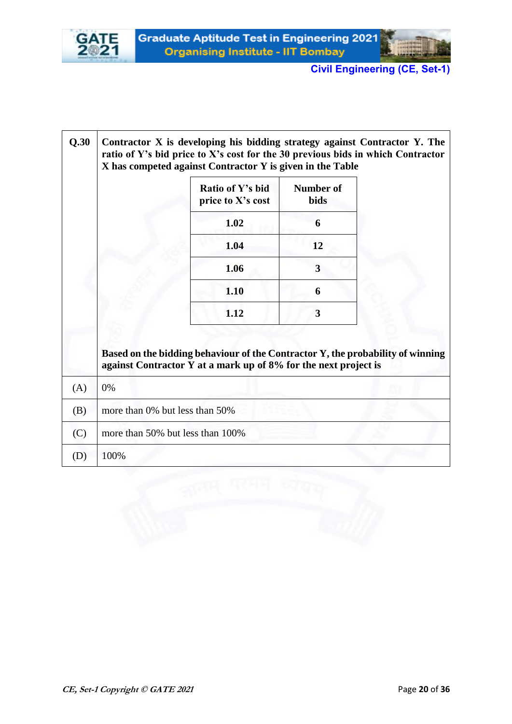



| Q.30 |                                  | Contractor X is developing his bidding strategy against Contractor Y. The<br>ratio of Y's bid price to X's cost for the 30 previous bids in which Contractor<br>X has competed against Contractor Y is given in the Table |                          |  |
|------|----------------------------------|---------------------------------------------------------------------------------------------------------------------------------------------------------------------------------------------------------------------------|--------------------------|--|
|      |                                  | Ratio of Y's bid<br>price to X's cost                                                                                                                                                                                     | Number of<br><b>bids</b> |  |
|      |                                  | 1.02                                                                                                                                                                                                                      | 6                        |  |
|      |                                  | 1.04                                                                                                                                                                                                                      | 12                       |  |
|      |                                  | 1.06                                                                                                                                                                                                                      | 3                        |  |
|      |                                  | 1.10                                                                                                                                                                                                                      | 6                        |  |
|      |                                  | 1.12                                                                                                                                                                                                                      | 3                        |  |
|      |                                  | Based on the bidding behaviour of the Contractor Y, the probability of winning<br>against Contractor Y at a mark up of 8% for the next project is                                                                         |                          |  |
| (A)  | 0%                               |                                                                                                                                                                                                                           |                          |  |
| (B)  | more than 0% but less than 50%   |                                                                                                                                                                                                                           |                          |  |
| (C)  | more than 50% but less than 100% |                                                                                                                                                                                                                           |                          |  |
| (D)  | 100%                             |                                                                                                                                                                                                                           |                          |  |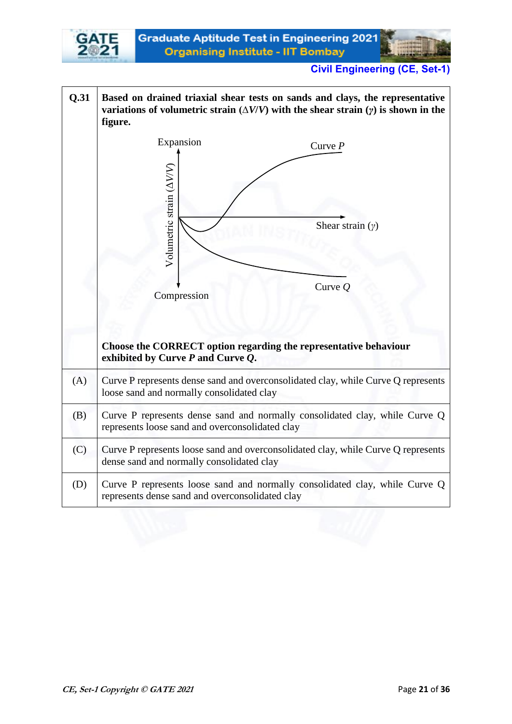

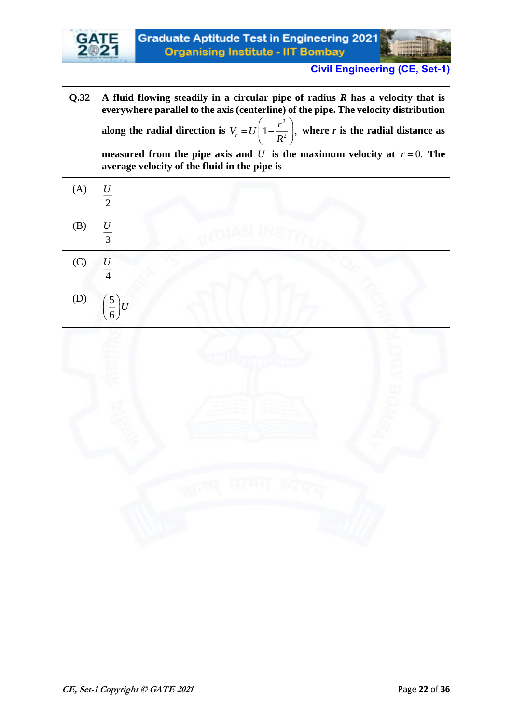

| Q.32 | A fluid flowing steadily in a circular pipe of radius $R$ has a velocity that is<br>everywhere parallel to the axis (centerline) of the pipe. The velocity distribution<br>along the radial direction is $V_r = U\left(1 - \frac{r^2}{R^2}\right)$ , where r is the radial distance as<br>measured from the pipe axis and U is the maximum velocity at $r=0$ . The<br>average velocity of the fluid in the pipe is |
|------|--------------------------------------------------------------------------------------------------------------------------------------------------------------------------------------------------------------------------------------------------------------------------------------------------------------------------------------------------------------------------------------------------------------------|
| (A)  | $rac{U}{2}$                                                                                                                                                                                                                                                                                                                                                                                                        |
| (B)  | $rac{U}{3}$                                                                                                                                                                                                                                                                                                                                                                                                        |
| (C)  |                                                                                                                                                                                                                                                                                                                                                                                                                    |
|      | (D) $\left(\frac{5}{6}\right)U$                                                                                                                                                                                                                                                                                                                                                                                    |

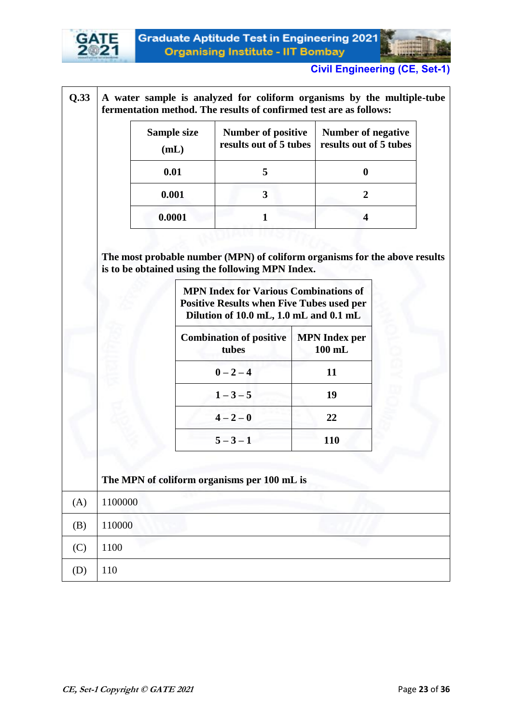



|         | Sample size<br>(mL) | <b>Number of positive</b><br>results out of 5 tubes                                                                                                  |    | <b>Number of negative</b><br>results out of 5 tubes |  |
|---------|---------------------|------------------------------------------------------------------------------------------------------------------------------------------------------|----|-----------------------------------------------------|--|
|         | 0.01                | 5                                                                                                                                                    |    | $\boldsymbol{0}$                                    |  |
|         | 0.001               | 3                                                                                                                                                    |    |                                                     |  |
|         | 0.0001              | $\mathbf{1}$                                                                                                                                         |    | $\overline{\mathbf{4}}$                             |  |
|         |                     | is to be obtained using the following MPN Index.<br><b>MPN Index for Various Combinations of</b><br><b>Positive Results when Five Tubes used per</b> |    |                                                     |  |
|         |                     | Dilution of 10.0 mL, 1.0 mL and 0.1 mL<br><b>Combination of positive</b><br>tubes                                                                    |    | <b>MPN</b> Index per<br>$100$ mL                    |  |
|         |                     | $0 - 2 - 4$                                                                                                                                          | 11 |                                                     |  |
|         |                     |                                                                                                                                                      |    |                                                     |  |
|         |                     | $1 - 3 - 5$                                                                                                                                          |    | 19                                                  |  |
|         |                     | $4 - 2 - 0$                                                                                                                                          |    | 22                                                  |  |
|         |                     | $5 - 3 - 1$                                                                                                                                          |    | 110                                                 |  |
|         |                     | The MPN of coliform organisms per 100 mL is                                                                                                          |    |                                                     |  |
| 1100000 |                     |                                                                                                                                                      |    |                                                     |  |
| 110000  |                     |                                                                                                                                                      |    |                                                     |  |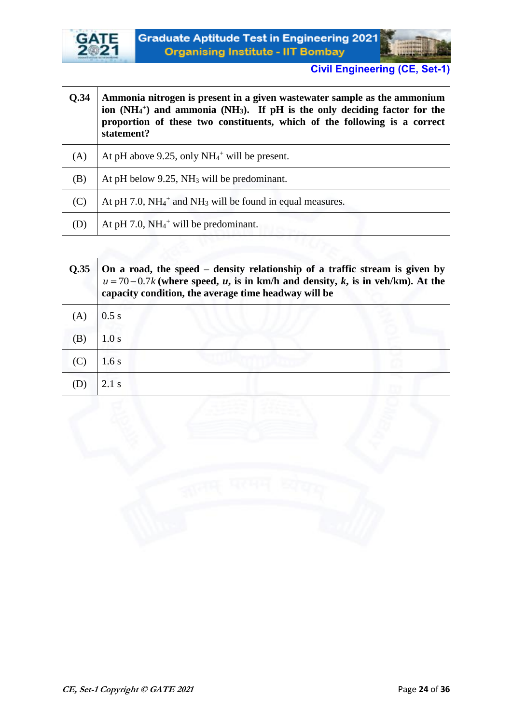

┱



٦

| <b>O.34</b> | Ammonia nitrogen is present in a given wastewater sample as the ammonium<br>ion (NH <sub>4</sub> +) and ammonia (NH <sub>3</sub> ). If pH is the only deciding factor for the<br>proportion of these two constituents, which of the following is a correct<br>statement? |
|-------------|--------------------------------------------------------------------------------------------------------------------------------------------------------------------------------------------------------------------------------------------------------------------------|
| (A)         | At pH above 9.25, only $NH_4$ <sup>+</sup> will be present.                                                                                                                                                                                                              |
| (B)         | At pH below $9.25$ , NH <sub>3</sub> will be predominant.                                                                                                                                                                                                                |
| (C)         | At pH 7.0, $NH_4$ <sup>+</sup> and NH <sub>3</sub> will be found in equal measures.                                                                                                                                                                                      |
| (D)         | At pH 7.0, $NH_4$ <sup>+</sup> will be predominant.                                                                                                                                                                                                                      |

| 0.35 | On a road, the speed – density relationship of a traffic stream is given by<br>$u = 70-0.7k$ (where speed, u, is in km/h and density, k, is in veh/km). At the<br>capacity condition, the average time headway will be |  |  |
|------|------------------------------------------------------------------------------------------------------------------------------------------------------------------------------------------------------------------------|--|--|
|      | 0.5 s                                                                                                                                                                                                                  |  |  |
| (B)  | 1.0 s                                                                                                                                                                                                                  |  |  |
|      | 1.6s                                                                                                                                                                                                                   |  |  |
|      | $2.1$ s                                                                                                                                                                                                                |  |  |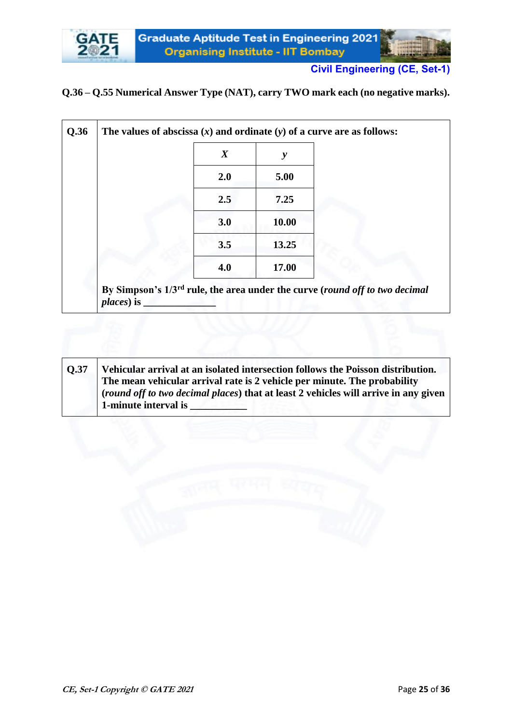# **Q.36 – Q.55 Numerical Answer Type (NAT), carry TWO mark each (no negative marks).**

| $\boldsymbol{X}$ | y     |  |
|------------------|-------|--|
| 2.0              | 5.00  |  |
| 2.5              | 7.25  |  |
| 3.0              | 10.00 |  |
| 3.5              | 13.25 |  |
| 4.0              | 17.00 |  |

| <b>Q.37</b> | Vehicular arrival at an isolated intersection follows the Poisson distribution.            |
|-------------|--------------------------------------------------------------------------------------------|
|             | The mean vehicular arrival rate is 2 vehicle per minute. The probability                   |
|             | <i>(round off to two decimal places)</i> that at least 2 vehicles will arrive in any given |
|             | 1-minute interval is                                                                       |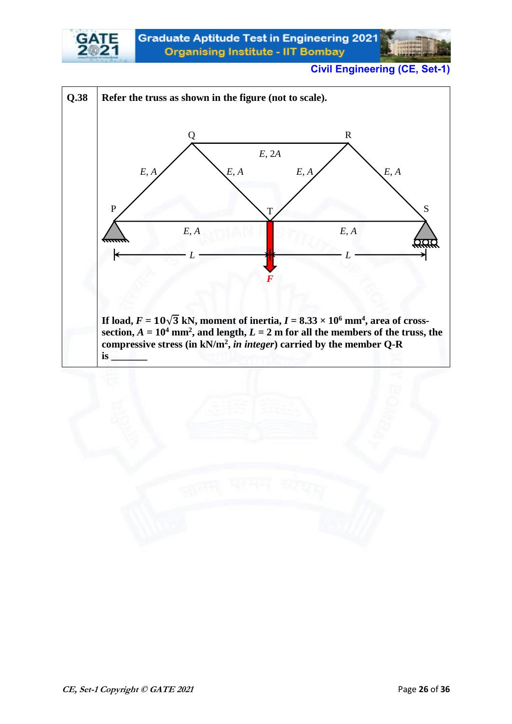

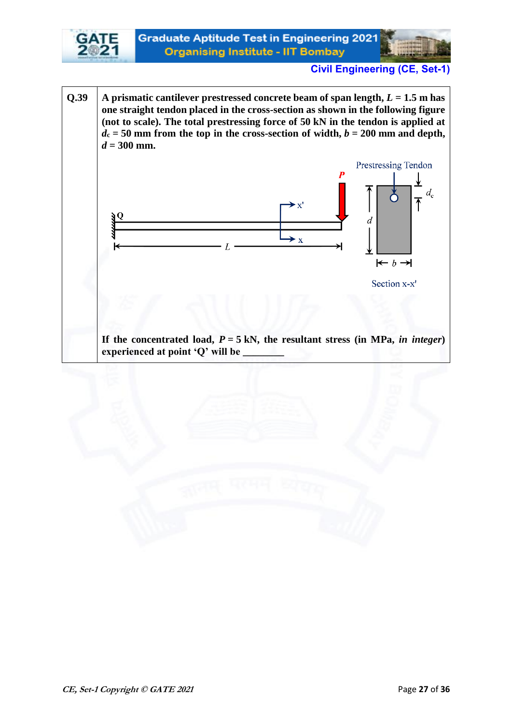

**Q.39**  $\vert$  **A** prismatic cantilever prestressed concrete beam of span length,  $L = 1.5$  m has **one straight tendon placed in the cross-section as shown in the following figure (not to scale). The total prestressing force of 50 kN in the tendon is applied at**   $d_c = 50$  mm from the top in the cross-section of width,  $b = 200$  mm and depth,  $d = 300$  mm.



If the concentrated load,  $P = 5$  kN, the resultant stress (in MPa, *in integer*) **experienced at point 'Q' will be \_\_\_\_\_\_\_\_**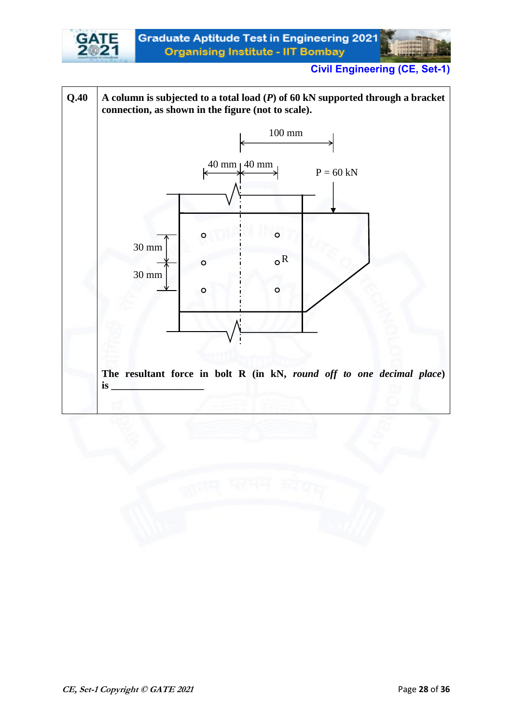

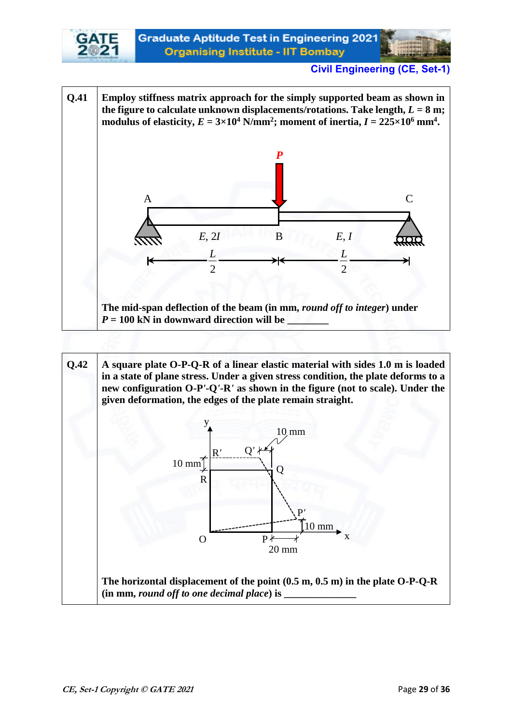

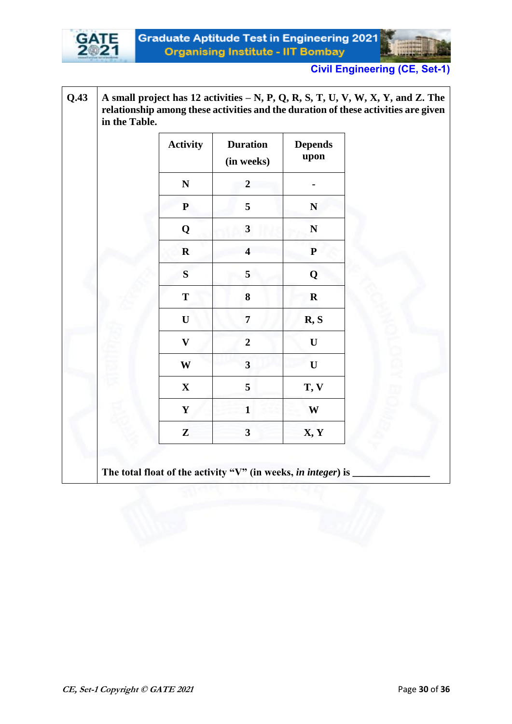

**Q.43 A small project has 12 activities – N, P, Q, R, S, T, U, V, W, X, Y, and Z. The relationship among these activities and the duration of these activities are given in the Table.** 

| <b>Activity</b>           | <b>Duration</b><br>(in weeks) | <b>Depends</b><br>upon |
|---------------------------|-------------------------------|------------------------|
| $\mathbf N$               | $\overline{2}$                |                        |
| ${\bf P}$                 | 5                             | $\mathbf N$            |
| Q                         | $\mathbf{3}$                  | $\mathbf N$            |
| ${\bf R}$                 | $\overline{\mathbf{4}}$       | ${\bf P}$              |
| ${\bf S}$                 | 5                             | Q                      |
| T                         | 8                             | ${\bf R}$              |
| $\mathbf U$               | $\overline{7}$                | R, S                   |
| $\boldsymbol{\mathrm{V}}$ | $\boldsymbol{2}$              | $\mathbf U$            |
| $\mathbf{W}$              | $\overline{\mathbf{3}}$       | $\mathbf U$            |
| $\mathbf X$               | 5                             | T, V                   |
| $\mathbf Y$               | $\mathbf{1}$                  | W                      |
| Z                         | $\mathbf{3}$                  | X, Y                   |

The total float of the activity "V" (in weeks, *in integer*) is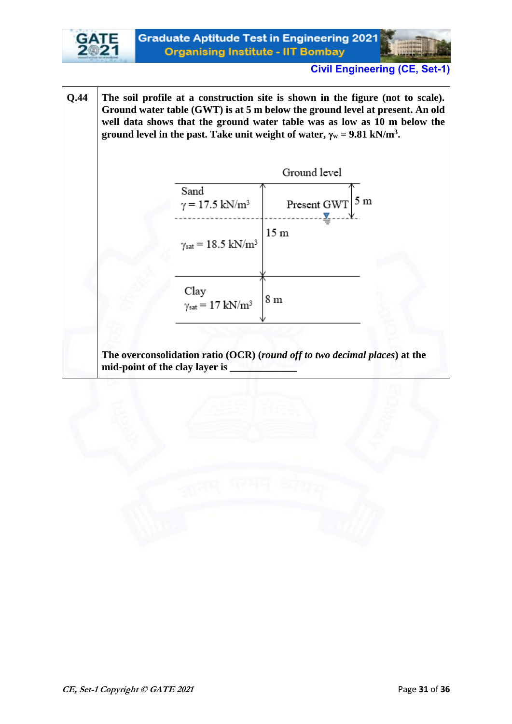

**Q.44 The soil profile at a construction site is shown in the figure (not to scale). Ground water table (GWT) is at 5 m below the ground level at present. An old well data shows that the ground water table was as low as 10 m below the ground level in the past. Take unit weight of water,**  $\gamma_w = 9.81 \text{ kN/m}^3$ **.** 



**The overconsolidation ratio (OCR) (***round off to two decimal places***) at the mid-point of the clay layer is \_\_\_\_\_\_\_\_\_\_\_\_\_**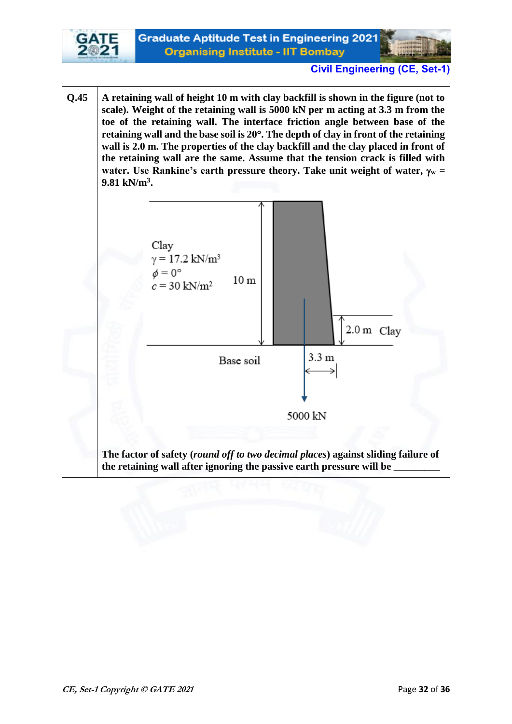

**Q.45 A retaining wall of height 10 m with clay backfill is shown in the figure (not to scale). Weight of the retaining wall is 5000 kN per m acting at 3.3 m from the toe of the retaining wall. The interface friction angle between base of the retaining wall and the base soil is 20. The depth of clay in front of the retaining wall is 2.0 m. The properties of the clay backfill and the clay placed in front of the retaining wall are the same. Assume that the tension crack is filled with water.** Use Rankine's earth pressure theory. Take unit weight of water,  $\gamma_w$  = **9.81 kN/m<sup>3</sup> .** 

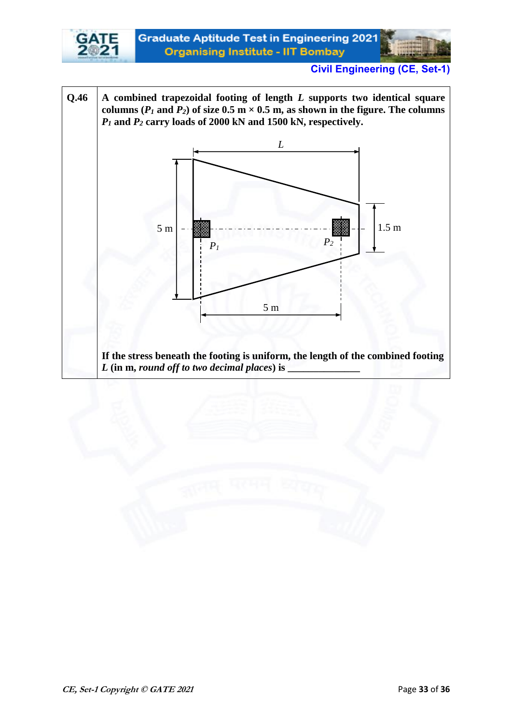

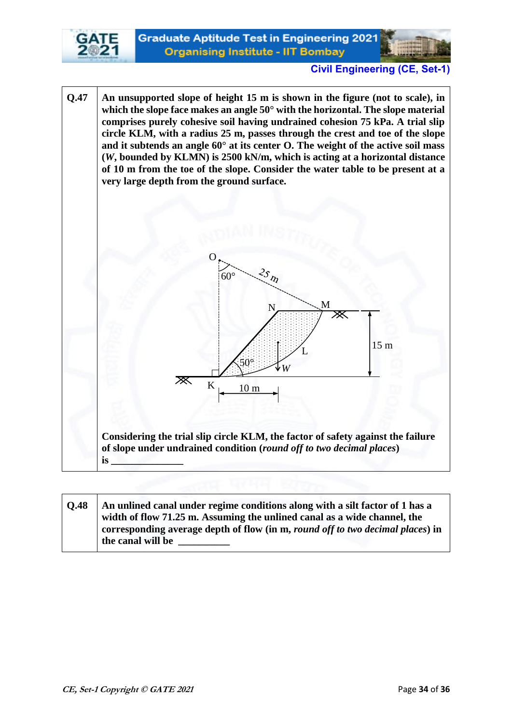



**Q.47 An unsupported slope of height 15 m is shown in the figure (not to scale), in which the slope face makes an angle 50° with the horizontal. The slope material comprises purely cohesive soil having undrained cohesion 75 kPa. A trial slip circle KLM, with a radius 25 m, passes through the crest and toe of the slope and it subtends an angle 60° at its center O. The weight of the active soil mass (***W***, bounded by KLMN) is 2500 kN/m, which is acting at a horizontal distance of 10 m from the toe of the slope. Consider the water table to be present at a very large depth from the ground surface.** 



| <b>O.48</b> | An unlined canal under regime conditions along with a silt factor of 1 has a   |
|-------------|--------------------------------------------------------------------------------|
|             | width of flow 71.25 m. Assuming the unlined canal as a wide channel, the       |
|             | corresponding average depth of flow (in m, round off to two decimal places) in |
|             | the canal will be                                                              |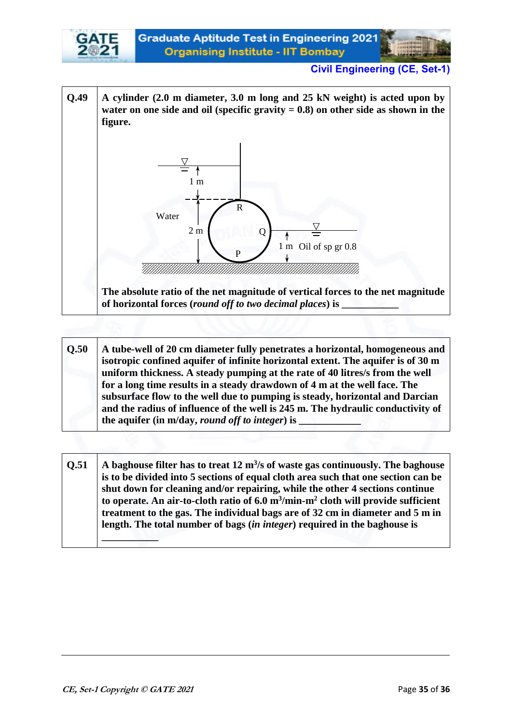

**Q.49 A cylinder (2.0 m diameter, 3.0 m long and 25 kN weight) is acted upon by**  water on one side and oil (specific gravity  $= 0.8$ ) on other side as shown in the **figure.**



**The absolute ratio of the net magnitude of vertical forces to the net magnitude of horizontal forces (***round off to two decimal places***) is \_\_\_\_\_\_\_\_\_\_\_** 

- **Q.50 A tube-well of 20 cm diameter fully penetrates a horizontal, homogeneous and isotropic confined aquifer of infinite horizontal extent. The aquifer is of 30 m uniform thickness. A steady pumping at the rate of 40 litres/s from the well for a long time results in a steady drawdown of 4 m at the well face. The subsurface flow to the well due to pumping is steady, horizontal and Darcian and the radius of influence of the well is 245 m. The hydraulic conductivity of the aquifer (in m/day,** *round off to integer***) is \_\_\_\_\_\_\_\_\_\_\_\_**
- **Q.51** A baghouse filter has to treat 12 m<sup>3</sup>/s of waste gas continuously. The baghouse **is to be divided into 5 sections of equal cloth area such that one section can be shut down for cleaning and/or repairing, while the other 4 sections continue to operate. An air-to-cloth ratio of 6.0 m<sup>3</sup> /min-m<sup>2</sup> cloth will provide sufficient treatment to the gas. The individual bags are of 32 cm in diameter and 5 m in length. The total number of bags (***in integer***) required in the baghouse is \_\_\_\_\_\_\_\_\_\_\_**